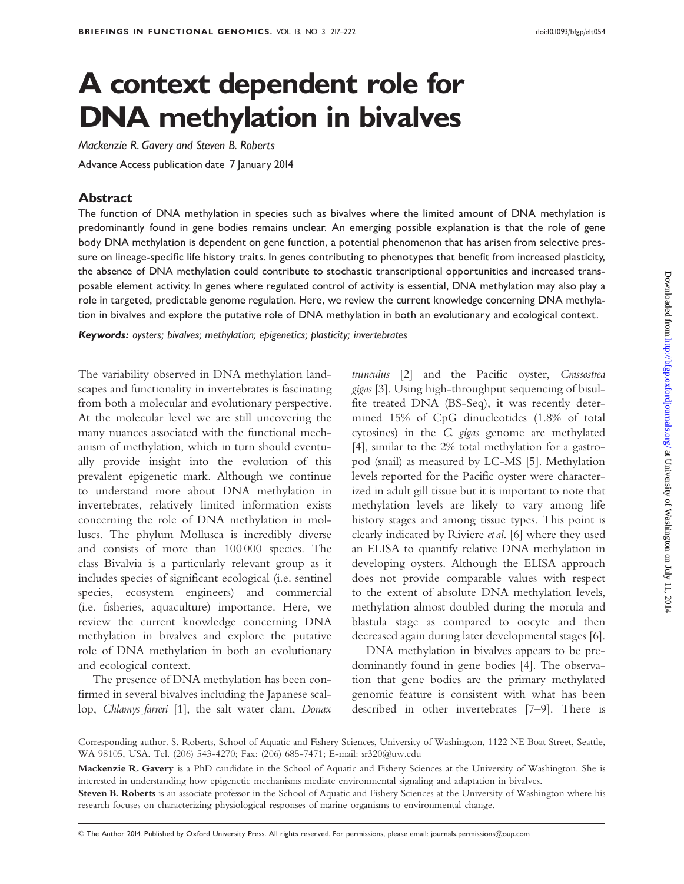# A context dependent role for DNA methylation in bivalves

Mackenzie R. Gavery and Steven B. Roberts

Advance Access publication date 7 January 2014

#### Abstract

The function of DNA methylation in species such as bivalves where the limited amount of DNA methylation is predominantly found in gene bodies remains unclear. An emerging possible explanation is that the role of gene body DNA methylation is dependent on gene function, a potential phenomenon that has arisen from selective pressure on lineage-specific life history traits. In genes contributing to phenotypes that benefit from increased plasticity, the absence of DNA methylation could contribute to stochastic transcriptional opportunities and increased transposable element activity. In genes where regulated control of activity is essential, DNA methylation may also play a role in targeted, predictable genome regulation. Here, we review the current knowledge concerning DNA methylation in bivalves and explore the putative role of DNA methylation in both an evolutionary and ecological context.

Keywords: oysters; bivalves; methylation; epigenetics; plasticity; invertebrates

The variability observed in DNA methylation landscapes and functionality in invertebrates is fascinating from both a molecular and evolutionary perspective. At the molecular level we are still uncovering the many nuances associated with the functional mechanism of methylation, which in turn should eventually provide insight into the evolution of this prevalent epigenetic mark. Although we continue to understand more about DNA methylation in invertebrates, relatively limited information exists concerning the role of DNA methylation in molluscs. The phylum Mollusca is incredibly diverse and consists of more than 100 000 species. The class Bivalvia is a particularly relevant group as it includes species of significant ecological (i.e. sentinel species, ecosystem engineers) and commercial (i.e. fisheries, aquaculture) importance. Here, we review the current knowledge concerning DNA methylation in bivalves and explore the putative role of DNA methylation in both an evolutionary and ecological context.

The presence of DNA methylation has been confirmed in several bivalves including the Japanese scallop, Chlamys farreri [[1](#page-4-0)], the salt water clam, Donax trunculus [\[2\]](#page-4-0) and the Pacific oyster, Crassostrea gigas [[3](#page-4-0)]. Using high-throughput sequencing of bisulfite treated DNA (BS-Seq), it was recently determined 15% of CpG dinucleotides (1.8% of total cytosines) in the C. gigas genome are methylated [\[4\]](#page-4-0), similar to the 2% total methylation for a gastropod (snail) as measured by LC-MS [\[5](#page-4-0)]. Methylation levels reported for the Pacific oyster were characterized in adult gill tissue but it is important to note that methylation levels are likely to vary among life history stages and among tissue types. This point is clearly indicated by Riviere et al. [[6](#page-4-0)] where they used an ELISA to quantify relative DNA methylation in developing oysters. Although the ELISA approach does not provide comparable values with respect to the extent of absolute DNA methylation levels, methylation almost doubled during the morula and blastula stage as compared to oocyte and then decreased again during later developmental stages [[6](#page-4-0)].

DNA methylation in bivalves appears to be predominantly found in gene bodies [[4](#page-4-0)]. The observation that gene bodies are the primary methylated genomic feature is consistent with what has been described in other invertebrates [\[7–9\]](#page-4-0). There is

Corresponding author. S. Roberts, School of Aquatic and Fishery Sciences, University of Washington, 1122 NE Boat Street, Seattle, WA 98105, USA. Tel. (206) 543-4270; Fax: (206) 685-7471; E-mail: sr320@uw.edu

Mackenzie R. Gavery is a PhD candidate in the School of Aquatic and Fishery Sciences at the University of Washington. She is interested in understanding how epigenetic mechanisms mediate environmental signaling and adaptation in bivalves.

Steven B. Roberts is an associate professor in the School of Aquatic and Fishery Sciences at the University of Washington where his research focuses on characterizing physiological responses of marine organisms to environmental change.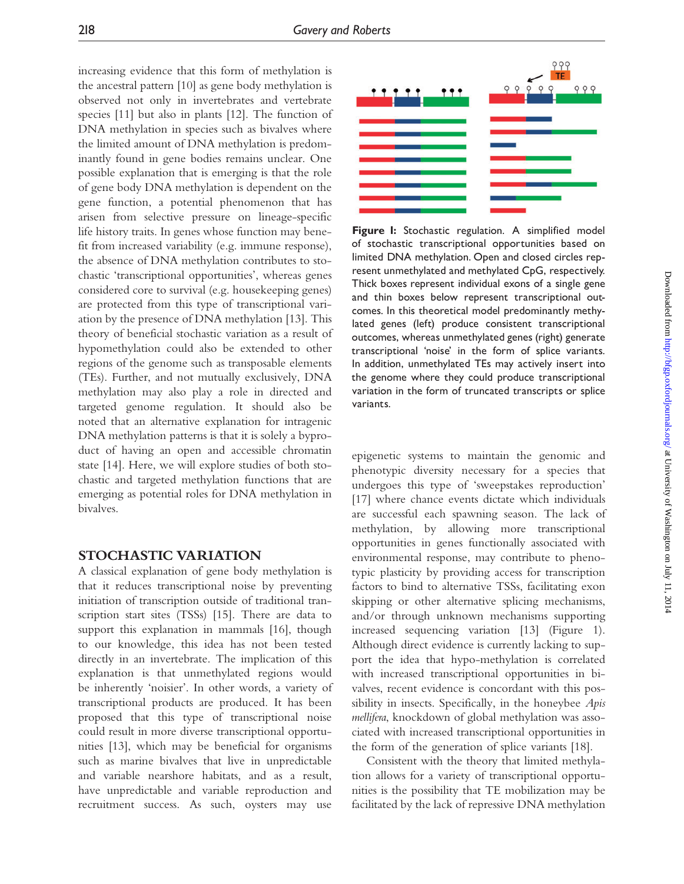<span id="page-1-0"></span>increasing evidence that this form of methylation is the ancestral pattern [[10\]](#page-5-0) as gene body methylation is observed not only in invertebrates and vertebrate species [[11\]](#page-5-0) but also in plants [[12\]](#page-5-0). The function of DNA methylation in species such as bivalves where the limited amount of DNA methylation is predominantly found in gene bodies remains unclear. One possible explanation that is emerging is that the role of gene body DNA methylation is dependent on the gene function, a potential phenomenon that has arisen from selective pressure on lineage-specific life history traits. In genes whose function may benefit from increased variability (e.g. immune response), the absence of DNA methylation contributes to stochastic 'transcriptional opportunities', whereas genes considered core to survival (e.g. housekeeping genes) are protected from this type of transcriptional variation by the presence of DNA methylation [[13\]](#page-5-0). This theory of beneficial stochastic variation as a result of hypomethylation could also be extended to other regions of the genome such as transposable elements (TEs). Further, and not mutually exclusively, DNA methylation may also play a role in directed and targeted genome regulation. It should also be noted that an alternative explanation for intragenic DNA methylation patterns is that it is solely a byproduct of having an open and accessible chromatin state [\[14\]](#page-5-0). Here, we will explore studies of both stochastic and targeted methylation functions that are emerging as potential roles for DNA methylation in bivalves.

## STOCHASTIC VARIATION

A classical explanation of gene body methylation is that it reduces transcriptional noise by preventing initiation of transcription outside of traditional transcription start sites (TSSs) [[15\]](#page-5-0). There are data to support this explanation in mammals [\[16](#page-5-0)], though to our knowledge, this idea has not been tested directly in an invertebrate. The implication of this explanation is that unmethylated regions would be inherently 'noisier'. In other words, a variety of transcriptional products are produced. It has been proposed that this type of transcriptional noise could result in more diverse transcriptional opportunities [[13](#page-5-0)], which may be beneficial for organisms such as marine bivalves that live in unpredictable and variable nearshore habitats, and as a result, have unpredictable and variable reproduction and recruitment success. As such, oysters may use



Figure I: Stochastic regulation. A simplified model of stochastic transcriptional opportunities based on limited DNA methylation. Open and closed circles represent unmethylated and methylated CpG, respectively. Thick boxes represent individual exons of a single gene and thin boxes below represent transcriptional outcomes. In this theoretical model predominantly methylated genes (left) produce consistent transcriptional outcomes, whereas unmethylated genes (right) generate transcriptional 'noise' in the form of splice variants. In addition, unmethylated TEs may actively insert into the genome where they could produce transcriptional variation in the form of truncated transcripts or splice variants.

epigenetic systems to maintain the genomic and phenotypic diversity necessary for a species that undergoes this type of 'sweepstakes reproduction' [\[17](#page-5-0)] where chance events dictate which individuals are successful each spawning season. The lack of methylation, by allowing more transcriptional opportunities in genes functionally associated with environmental response, may contribute to phenotypic plasticity by providing access for transcription factors to bind to alternative TSSs, facilitating exon skipping or other alternative splicing mechanisms, and/or through unknown mechanisms supporting increased sequencing variation [[13\]](#page-5-0) (Figure 1). Although direct evidence is currently lacking to support the idea that hypo-methylation is correlated with increased transcriptional opportunities in bivalves, recent evidence is concordant with this possibility in insects. Specifically, in the honeybee Apis mellifera, knockdown of global methylation was associated with increased transcriptional opportunities in the form of the generation of splice variants [\[18](#page-5-0)].

Consistent with the theory that limited methylation allows for a variety of transcriptional opportunities is the possibility that TE mobilization may be facilitated by the lack of repressive DNA methylation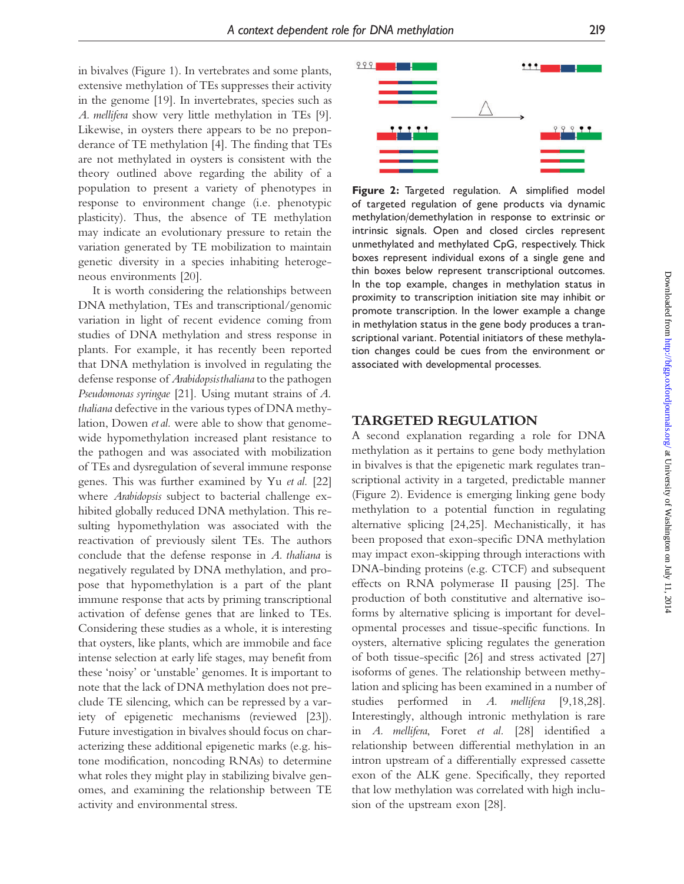in bivalves ([Figure 1\)](#page-1-0). In vertebrates and some plants, extensive methylation of TEs suppresses their activity in the genome [[19\]](#page-5-0). In invertebrates, species such as A. mellifera show very little methylation in TEs [[9](#page-4-0)]. Likewise, in oysters there appears to be no preponderance of TE methylation [\[4\]](#page-4-0). The finding that TEs are not methylated in oysters is consistent with the theory outlined above regarding the ability of a population to present a variety of phenotypes in response to environment change (i.e. phenotypic plasticity). Thus, the absence of TE methylation may indicate an evolutionary pressure to retain the variation generated by TE mobilization to maintain genetic diversity in a species inhabiting heterogeneous environments [[20](#page-5-0)].

It is worth considering the relationships between DNA methylation, TEs and transcriptional/genomic variation in light of recent evidence coming from studies of DNA methylation and stress response in plants. For example, it has recently been reported that DNA methylation is involved in regulating the defense response of Arabidopsisthaliana to the pathogen Pseudomonas syringae [\[21](#page-5-0)]. Using mutant strains of A. thaliana defective in the various types of DNA methylation, Dowen et al. were able to show that genomewide hypomethylation increased plant resistance to the pathogen and was associated with mobilization of TEs and dysregulation of several immune response genes. This was further examined by Yu et al. [\[22\]](#page-5-0) where Arabidopsis subject to bacterial challenge exhibited globally reduced DNA methylation. This resulting hypomethylation was associated with the reactivation of previously silent TEs. The authors conclude that the defense response in A. thaliana is negatively regulated by DNA methylation, and propose that hypomethylation is a part of the plant immune response that acts by priming transcriptional activation of defense genes that are linked to TEs. Considering these studies as a whole, it is interesting that oysters, like plants, which are immobile and face intense selection at early life stages, may benefit from these 'noisy' or 'unstable' genomes. It is important to note that the lack of DNA methylation does not preclude TE silencing, which can be repressed by a variety of epigenetic mechanisms (reviewed [\[23](#page-5-0)]). Future investigation in bivalves should focus on characterizing these additional epigenetic marks (e.g. histone modification, noncoding RNAs) to determine what roles they might play in stabilizing bivalve genomes, and examining the relationship between TE activity and environmental stress.



**Figure 2:** Targeted regulation. A simplified model of targeted regulation of gene products via dynamic methylation/demethylation in response to extrinsic or intrinsic signals. Open and closed circles represent unmethylated and methylated CpG, respectively. Thick boxes represent individual exons of a single gene and thin boxes below represent transcriptional outcomes. In the top example, changes in methylation status in proximity to transcription initiation site may inhibit or promote transcription. In the lower example a change in methylation status in the gene body produces a transcriptional variant. Potential initiators of these methylation changes could be cues from the environment or associated with developmental processes.

#### TARGETED REGULATION

A second explanation regarding a role for DNA methylation as it pertains to gene body methylation in bivalves is that the epigenetic mark regulates transcriptional activity in a targeted, predictable manner (Figure 2). Evidence is emerging linking gene body methylation to a potential function in regulating alternative splicing [\[24](#page-5-0),[25\]](#page-5-0). Mechanistically, it has been proposed that exon-specific DNA methylation may impact exon-skipping through interactions with DNA-binding proteins (e.g. CTCF) and subsequent effects on RNA polymerase II pausing [\[25\]](#page-5-0). The production of both constitutive and alternative isoforms by alternative splicing is important for developmental processes and tissue-specific functions. In oysters, alternative splicing regulates the generation of both tissue-specific [[26\]](#page-5-0) and stress activated [\[27](#page-5-0)] isoforms of genes. The relationship between methylation and splicing has been examined in a number of studies performed in A. mellifera [\[9](#page-4-0)[,18,28](#page-5-0)]. Interestingly, although intronic methylation is rare in A. mellifera, Foret et al. [\[28\]](#page-5-0) identified a relationship between differential methylation in an intron upstream of a differentially expressed cassette exon of the ALK gene. Specifically, they reported that low methylation was correlated with high inclusion of the upstream exon [[28\]](#page-5-0).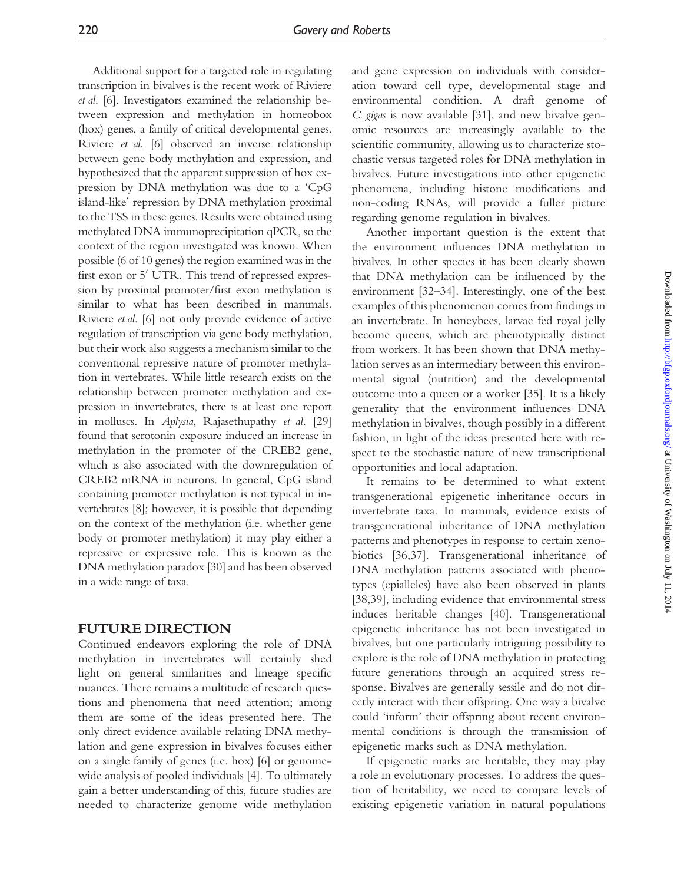Additional support for a targeted role in regulating transcription in bivalves is the recent work of Riviere et al. [\[6\]](#page-4-0). Investigators examined the relationship between expression and methylation in homeobox (hox) genes, a family of critical developmental genes. Riviere et al. [\[6](#page-4-0)] observed an inverse relationship between gene body methylation and expression, and hypothesized that the apparent suppression of hox expression by DNA methylation was due to a 'CpG island-like' repression by DNA methylation proximal to the TSS in these genes. Results were obtained using methylated DNA immunoprecipitation qPCR, so the context of the region investigated was known. When possible (6 of 10 genes) the region examined was in the first exon or  $5'$  UTR. This trend of repressed expression by proximal promoter/first exon methylation is similar to what has been described in mammals. Riviere et al. [\[6\]](#page-4-0) not only provide evidence of active regulation of transcription via gene body methylation, but their work also suggests a mechanism similar to the conventional repressive nature of promoter methylation in vertebrates. While little research exists on the relationship between promoter methylation and expression in invertebrates, there is at least one report in molluscs. In Aplysia, Rajasethupathy et al. [\[29\]](#page-5-0) found that serotonin exposure induced an increase in methylation in the promoter of the CREB2 gene, which is also associated with the downregulation of CREB2 mRNA in neurons. In general, CpG island containing promoter methylation is not typical in invertebrates [\[8\]](#page-4-0); however, it is possible that depending on the context of the methylation (i.e. whether gene body or promoter methylation) it may play either a repressive or expressive role. This is known as the DNA methylation paradox [\[30\]](#page-5-0) and has been observed in a wide range of taxa.

## FUTURE DIRECTION

Continued endeavors exploring the role of DNA methylation in invertebrates will certainly shed light on general similarities and lineage specific nuances. There remains a multitude of research questions and phenomena that need attention; among them are some of the ideas presented here. The only direct evidence available relating DNA methylation and gene expression in bivalves focuses either on a single family of genes (i.e. hox) [[6](#page-4-0)] or genomewide analysis of pooled individuals [\[4](#page-4-0)]. To ultimately gain a better understanding of this, future studies are needed to characterize genome wide methylation and gene expression on individuals with consideration toward cell type, developmental stage and environmental condition. A draft genome of C. gigas is now available [[31\]](#page-5-0), and new bivalve genomic resources are increasingly available to the scientific community, allowing us to characterize stochastic versus targeted roles for DNA methylation in bivalves. Future investigations into other epigenetic phenomena, including histone modifications and non-coding RNAs, will provide a fuller picture regarding genome regulation in bivalves.

Another important question is the extent that the environment influences DNA methylation in bivalves. In other species it has been clearly shown that DNA methylation can be influenced by the environment [\[32–34\]](#page-5-0). Interestingly, one of the best examples of this phenomenon comes from findings in an invertebrate. In honeybees, larvae fed royal jelly become queens, which are phenotypically distinct from workers. It has been shown that DNA methylation serves as an intermediary between this environmental signal (nutrition) and the developmental outcome into a queen or a worker [\[35\]](#page-5-0). It is a likely generality that the environment influences DNA methylation in bivalves, though possibly in a different fashion, in light of the ideas presented here with respect to the stochastic nature of new transcriptional opportunities and local adaptation.

It remains to be determined to what extent transgenerational epigenetic inheritance occurs in invertebrate taxa. In mammals, evidence exists of transgenerational inheritance of DNA methylation patterns and phenotypes in response to certain xenobiotics [\[36,37](#page-5-0)]. Transgenerational inheritance of DNA methylation patterns associated with phenotypes (epialleles) have also been observed in plants [\[38](#page-5-0),[39](#page-5-0)], including evidence that environmental stress induces heritable changes [[40\]](#page-5-0). Transgenerational epigenetic inheritance has not been investigated in bivalves, but one particularly intriguing possibility to explore is the role of DNA methylation in protecting future generations through an acquired stress response. Bivalves are generally sessile and do not directly interact with their offspring. One way a bivalve could 'inform' their offspring about recent environmental conditions is through the transmission of epigenetic marks such as DNA methylation.

If epigenetic marks are heritable, they may play a role in evolutionary processes. To address the question of heritability, we need to compare levels of existing epigenetic variation in natural populations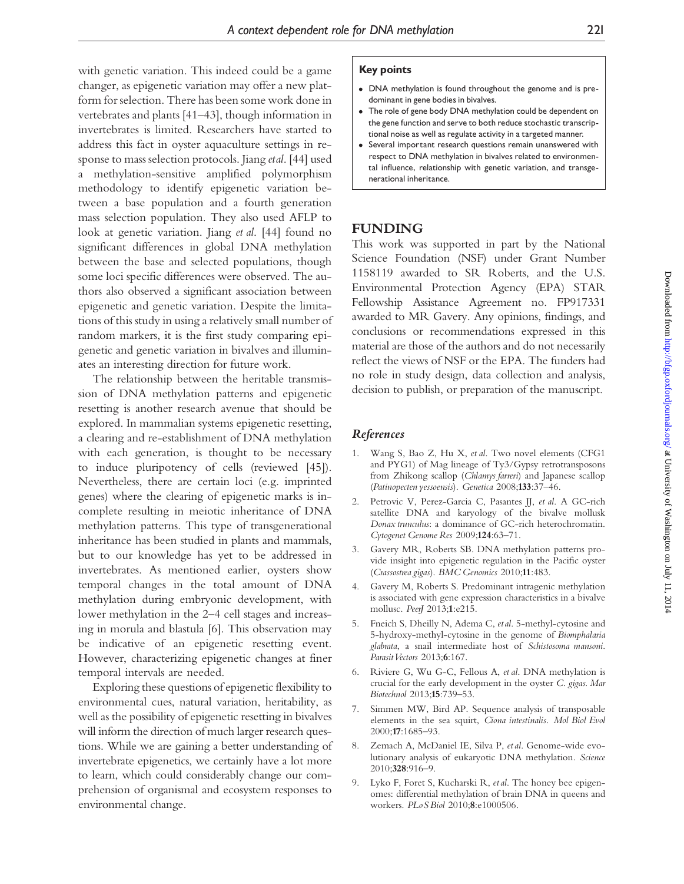<span id="page-4-0"></span>with genetic variation. This indeed could be a game changer, as epigenetic variation may offer a new platform for selection. There has been some work done in vertebrates and plants [\[41–43](#page-5-0)], though information in invertebrates is limited. Researchers have started to address this fact in oyster aquaculture settings in response to mass selection protocols. Jiang etal. [[44\]](#page-5-0) used a methylation-sensitive amplified polymorphism methodology to identify epigenetic variation between a base population and a fourth generation mass selection population. They also used AFLP to look at genetic variation. Jiang *et al.* [\[44](#page-5-0)] found no significant differences in global DNA methylation between the base and selected populations, though some loci specific differences were observed. The authors also observed a significant association between epigenetic and genetic variation. Despite the limitations of this study in using a relatively small number of random markers, it is the first study comparing epigenetic and genetic variation in bivalves and illuminates an interesting direction for future work.

The relationship between the heritable transmission of DNA methylation patterns and epigenetic resetting is another research avenue that should be explored. In mammalian systems epigenetic resetting, a clearing and re-establishment of DNA methylation with each generation, is thought to be necessary to induce pluripotency of cells (reviewed [\[45](#page-5-0)]). Nevertheless, there are certain loci (e.g. imprinted genes) where the clearing of epigenetic marks is incomplete resulting in meiotic inheritance of DNA methylation patterns. This type of transgenerational inheritance has been studied in plants and mammals, but to our knowledge has yet to be addressed in invertebrates. As mentioned earlier, oysters show temporal changes in the total amount of DNA methylation during embryonic development, with lower methylation in the 2–4 cell stages and increasing in morula and blastula [6]. This observation may be indicative of an epigenetic resetting event. However, characterizing epigenetic changes at finer temporal intervals are needed.

Exploring these questions of epigenetic flexibility to environmental cues, natural variation, heritability, as well as the possibility of epigenetic resetting in bivalves will inform the direction of much larger research questions. While we are gaining a better understanding of invertebrate epigenetics, we certainly have a lot more to learn, which could considerably change our comprehension of organismal and ecosystem responses to environmental change.

#### Key points

- DNA methylation is found throughout the genome and is predominant in gene bodies in bivalves.
- - The role of gene body DNA methylation could be dependent on the gene function and serve to both reduce stochastic transcriptional noise as well as regulate activity in a targeted manner.
- Several important research questions remain unanswered with respect to DNA methylation in bivalves related to environmental influence, relationship with genetic variation, and transgenerational inheritance.

# FUNDING

This work was supported in part by the National Science Foundation (NSF) under Grant Number 1158119 awarded to SR Roberts, and the U.S. Environmental Protection Agency (EPA) STAR Fellowship Assistance Agreement no. FP917331 awarded to MR Gavery. Any opinions, findings, and conclusions or recommendations expressed in this material are those of the authors and do not necessarily reflect the views of NSF or the EPA. The funders had no role in study design, data collection and analysis, decision to publish, or preparation of the manuscript.

# References

- Wang S, Bao Z, Hu X, et al. Two novel elements (CFG1 and PYG1) of Mag lineage of Ty3/Gypsy retrotransposons from Zhikong scallop (Chlamys farreri) and Japanese scallop (Patinopecten yessoensis). Genetica 2008;133:37–46.
- 2. Petrovic V, Perez-Garcia C, Pasantes JJ, et al. A GC-rich satellite DNA and karyology of the bivalve mollusk Donax trunculus: a dominance of GC-rich heterochromatin. Cytogenet Genome Res 2009;124:63–71.
- 3. Gavery MR, Roberts SB. DNA methylation patterns provide insight into epigenetic regulation in the Pacific oyster (Crassostrea gigas). BMC Genomics 2010;11:483.
- 4. Gavery M, Roberts S. Predominant intragenic methylation is associated with gene expression characteristics in a bivalve mollusc. PeerJ 2013;1:e215.
- 5. Fneich S, Dheilly N, Adema C, etal. 5-methyl-cytosine and 5-hydroxy-methyl-cytosine in the genome of Biomphalaria glabrata, a snail intermediate host of Schistosoma mansoni. Parasit Vectors 2013;6:167.
- 6. Riviere G, Wu G-C, Fellous A, et al. DNA methylation is crucial for the early development in the oyster C. gigas.Mar Biotechnol 2013;15:739–53.
- 7. Simmen MW, Bird AP. Sequence analysis of transposable elements in the sea squirt, Ciona intestinalis. Mol Biol Evol 2000;17:1685–93.
- 8. Zemach A, McDaniel IE, Silva P, et al. Genome-wide evolutionary analysis of eukaryotic DNA methylation. Science 2010;328:916–9.
- 9. Lyko F, Foret S, Kucharski R, et al. The honey bee epigenomes: differential methylation of brain DNA in queens and workers. PLoS Biol 2010;8:e1000506.